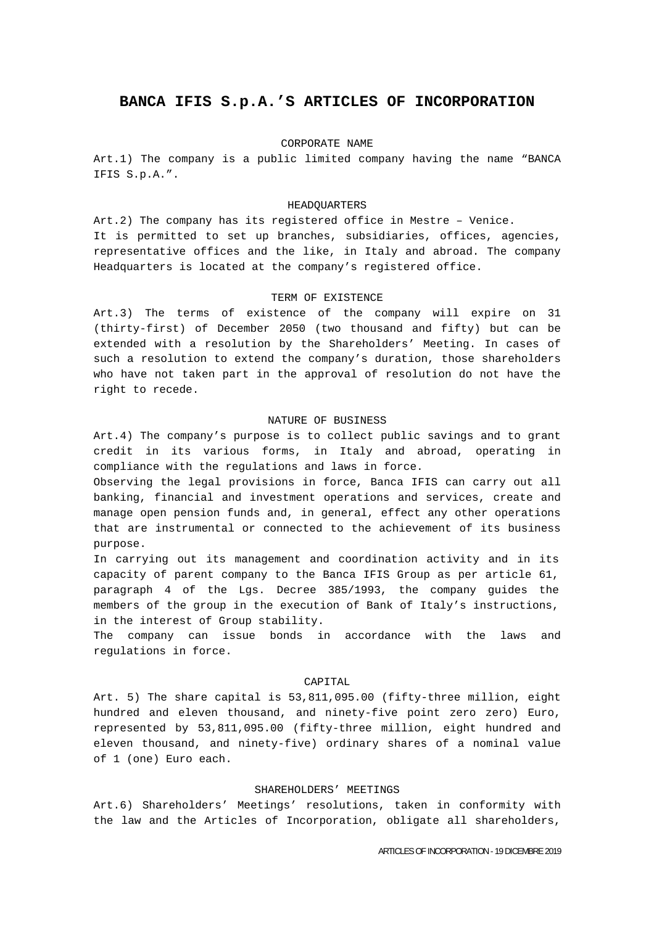# **BANCA IFIS S.p.A.'S ARTICLES OF INCORPORATION**

#### CORPORATE NAME

Art.1) The company is a public limited company having the name "BANCA IFIS S.p.A.".

#### HEADQUARTERS

Art.2) The company has its registered office in Mestre – Venice. It is permitted to set up branches, subsidiaries, offices, agencies, representative offices and the like, in Italy and abroad. The company Headquarters is located at the company's registered office.

#### TERM OF EXISTENCE

Art.3) The terms of existence of the company will expire on 31 (thirty-first) of December 2050 (two thousand and fifty) but can be extended with a resolution by the Shareholders' Meeting. In cases of such a resolution to extend the company's duration, those shareholders who have not taken part in the approval of resolution do not have the right to recede.

## NATURE OF BUSINESS

Art.4) The company's purpose is to collect public savings and to grant credit in its various forms, in Italy and abroad, operating in compliance with the regulations and laws in force.

Observing the legal provisions in force, Banca IFIS can carry out all banking, financial and investment operations and services, create and manage open pension funds and, in general, effect any other operations that are instrumental or connected to the achievement of its business purpose.

In carrying out its management and coordination activity and in its capacity of parent company to the Banca IFIS Group as per article 61, paragraph 4 of the Lgs. Decree 385/1993, the company guides the members of the group in the execution of Bank of Italy's instructions, in the interest of Group stability.

The company can issue bonds in accordance with the laws and regulations in force.

## CAPITAL

Art. 5) The share capital is 53,811,095.00 (fifty-three million, eight hundred and eleven thousand, and ninety-five point zero zero) Euro, represented by 53,811,095.00 (fifty-three million, eight hundred and eleven thousand, and ninety-five) ordinary shares of a nominal value of 1 (one) Euro each.

## SHAREHOLDERS' MEETINGS

Art.6) Shareholders' Meetings' resolutions, taken in conformity with the law and the Articles of Incorporation, obligate all shareholders,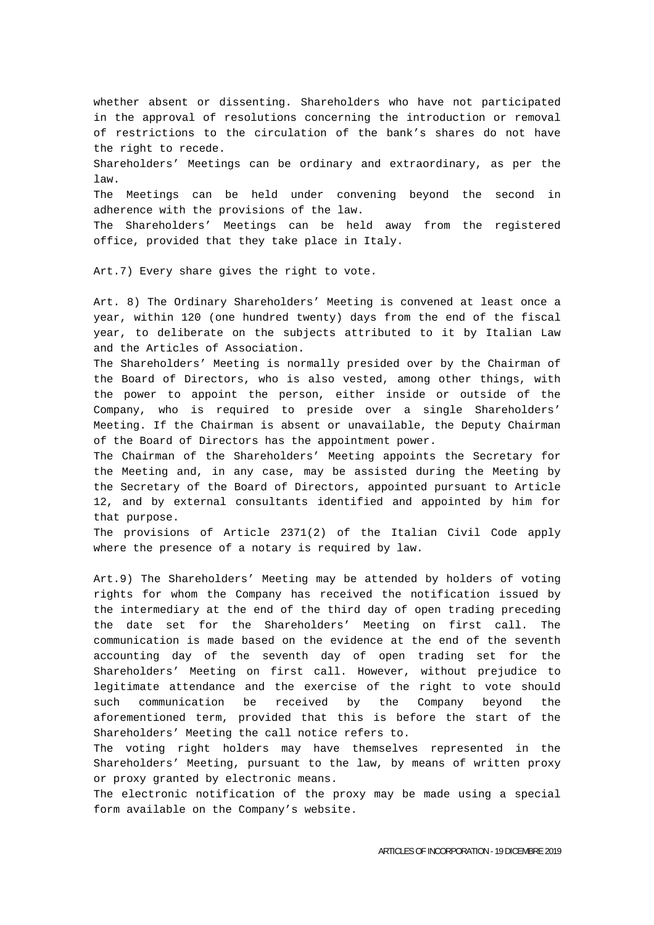whether absent or dissenting. Shareholders who have not participated in the approval of resolutions concerning the introduction or removal of restrictions to the circulation of the bank's shares do not have the right to recede. Shareholders' Meetings can be ordinary and extraordinary, as per the law. The Meetings can be held under convening beyond the second in adherence with the provisions of the law. The Shareholders' Meetings can be held away from the registered office, provided that they take place in Italy.

Art.7) Every share gives the right to vote.

Art. 8) The Ordinary Shareholders' Meeting is convened at least once a year, within 120 (one hundred twenty) days from the end of the fiscal year, to deliberate on the subjects attributed to it by Italian Law and the Articles of Association.

The Shareholders' Meeting is normally presided over by the Chairman of the Board of Directors, who is also vested, among other things, with the power to appoint the person, either inside or outside of the Company, who is required to preside over a single Shareholders' Meeting. If the Chairman is absent or unavailable, the Deputy Chairman of the Board of Directors has the appointment power.

The Chairman of the Shareholders' Meeting appoints the Secretary for the Meeting and, in any case, may be assisted during the Meeting by the Secretary of the Board of Directors, appointed pursuant to Article 12, and by external consultants identified and appointed by him for that purpose.

The provisions of Article 2371(2) of the Italian Civil Code apply where the presence of a notary is required by law.

Art.9) The Shareholders' Meeting may be attended by holders of voting rights for whom the Company has received the notification issued by the intermediary at the end of the third day of open trading preceding the date set for the Shareholders' Meeting on first call. The communication is made based on the evidence at the end of the seventh accounting day of the seventh day of open trading set for the Shareholders' Meeting on first call. However, without prejudice to legitimate attendance and the exercise of the right to vote should such communication be received by the Company beyond the aforementioned term, provided that this is before the start of the Shareholders' Meeting the call notice refers to.

The voting right holders may have themselves represented in the Shareholders' Meeting, pursuant to the law, by means of written proxy or proxy granted by electronic means.

The electronic notification of the proxy may be made using a special form available on the Company's website.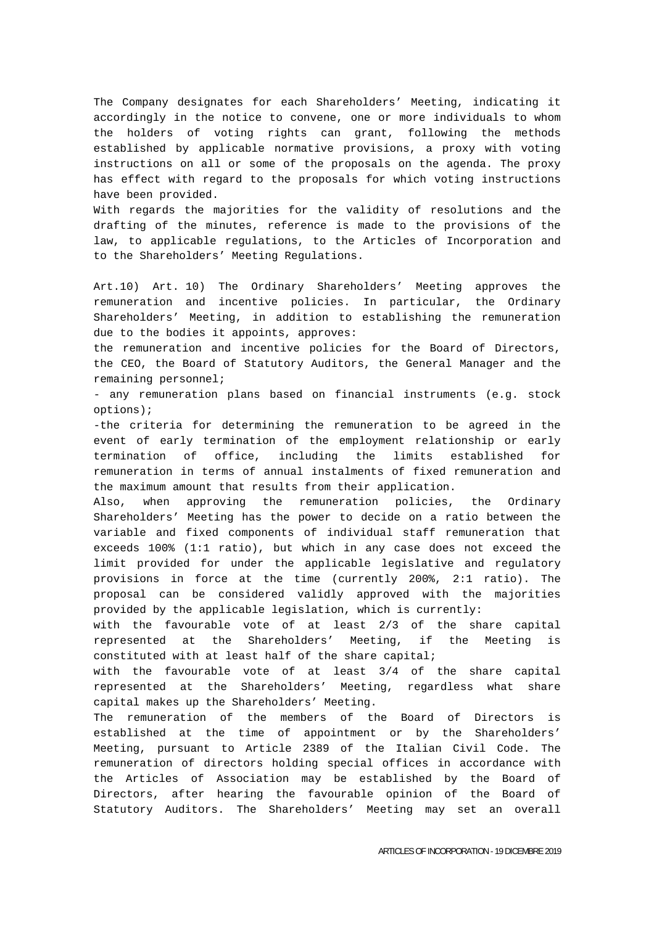The Company designates for each Shareholders' Meeting, indicating it accordingly in the notice to convene, one or more individuals to whom the holders of voting rights can grant, following the methods established by applicable normative provisions, a proxy with voting instructions on all or some of the proposals on the agenda. The proxy has effect with regard to the proposals for which voting instructions have been provided.

With regards the majorities for the validity of resolutions and the drafting of the minutes, reference is made to the provisions of the law, to applicable regulations, to the Articles of Incorporation and to the Shareholders' Meeting Regulations.

Art.10) Art. 10) The Ordinary Shareholders' Meeting approves the remuneration and incentive policies. In particular, the Ordinary Shareholders' Meeting, in addition to establishing the remuneration due to the bodies it appoints, approves:

the remuneration and incentive policies for the Board of Directors, the CEO, the Board of Statutory Auditors, the General Manager and the remaining personnel;

- any remuneration plans based on financial instruments (e.g. stock options);

-the criteria for determining the remuneration to be agreed in the event of early termination of the employment relationship or early termination of office, including the limits established for remuneration in terms of annual instalments of fixed remuneration and the maximum amount that results from their application.

Also, when approving the remuneration policies, the Ordinary Shareholders' Meeting has the power to decide on a ratio between the variable and fixed components of individual staff remuneration that exceeds 100% (1:1 ratio), but which in any case does not exceed the limit provided for under the applicable legislative and regulatory provisions in force at the time (currently 200%, 2:1 ratio). The proposal can be considered validly approved with the majorities provided by the applicable legislation, which is currently:

with the favourable vote of at least 2/3 of the share capital represented at the Shareholders' Meeting, if the Meeting is constituted with at least half of the share capital;

with the favourable vote of at least 3/4 of the share capital represented at the Shareholders' Meeting, regardless what share capital makes up the Shareholders' Meeting.

The remuneration of the members of the Board of Directors is established at the time of appointment or by the Shareholders' Meeting, pursuant to Article 2389 of the Italian Civil Code. The remuneration of directors holding special offices in accordance with the Articles of Association may be established by the Board of Directors, after hearing the favourable opinion of the Board of Statutory Auditors. The Shareholders' Meeting may set an overall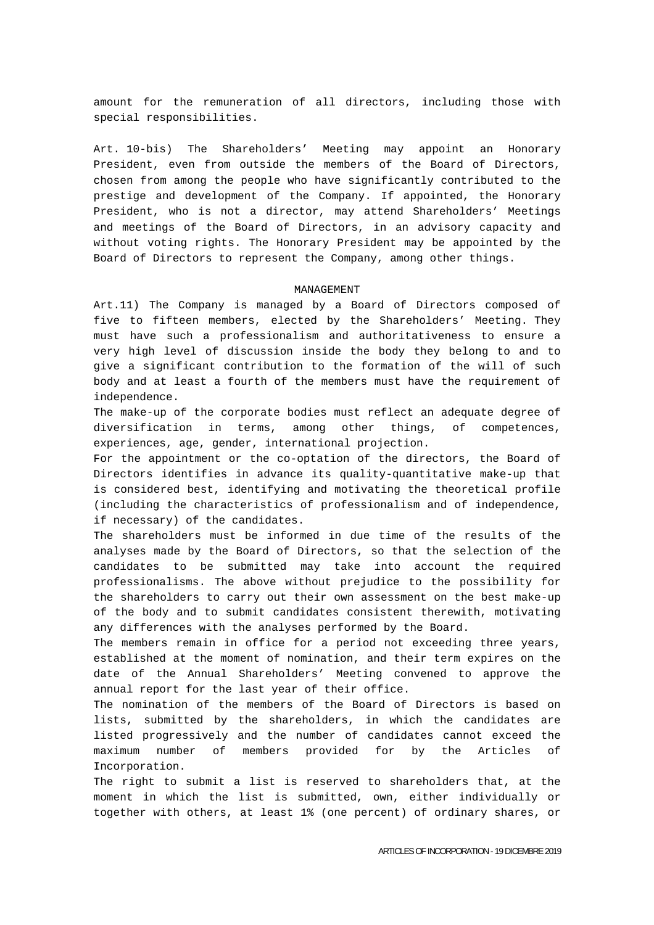amount for the remuneration of all directors, including those with special responsibilities.

Art. 10-bis) The Shareholders' Meeting may appoint an Honorary President, even from outside the members of the Board of Directors, chosen from among the people who have significantly contributed to the prestige and development of the Company. If appointed, the Honorary President, who is not a director, may attend Shareholders' Meetings and meetings of the Board of Directors, in an advisory capacity and without voting rights. The Honorary President may be appointed by the Board of Directors to represent the Company, among other things.

#### MANAGEMENT

Art.11) The Company is managed by a Board of Directors composed of five to fifteen members, elected by the Shareholders' Meeting. They must have such a professionalism and authoritativeness to ensure a very high level of discussion inside the body they belong to and to give a significant contribution to the formation of the will of such body and at least a fourth of the members must have the requirement of independence.

The make-up of the corporate bodies must reflect an adequate degree of diversification in terms, among other things, of competences, experiences, age, gender, international projection.

For the appointment or the co-optation of the directors, the Board of Directors identifies in advance its quality-quantitative make-up that is considered best, identifying and motivating the theoretical profile (including the characteristics of professionalism and of independence, if necessary) of the candidates.

The shareholders must be informed in due time of the results of the analyses made by the Board of Directors, so that the selection of the candidates to be submitted may take into account the required professionalisms. The above without prejudice to the possibility for the shareholders to carry out their own assessment on the best make-up of the body and to submit candidates consistent therewith, motivating any differences with the analyses performed by the Board.

The members remain in office for a period not exceeding three years, established at the moment of nomination, and their term expires on the date of the Annual Shareholders' Meeting convened to approve the annual report for the last year of their office.

The nomination of the members of the Board of Directors is based on lists, submitted by the shareholders, in which the candidates are listed progressively and the number of candidates cannot exceed the maximum number of members provided for by the Articles of Incorporation.

The right to submit a list is reserved to shareholders that, at the moment in which the list is submitted, own, either individually or together with others, at least 1% (one percent) of ordinary shares, or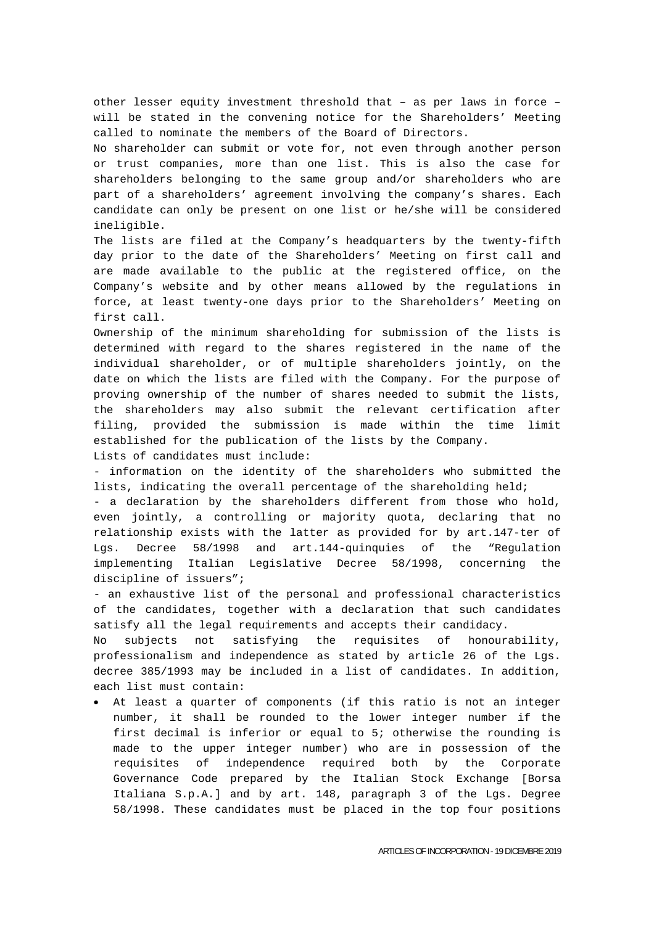other lesser equity investment threshold that – as per laws in force – will be stated in the convening notice for the Shareholders' Meeting called to nominate the members of the Board of Directors.

No shareholder can submit or vote for, not even through another person or trust companies, more than one list. This is also the case for shareholders belonging to the same group and/or shareholders who are part of a shareholders' agreement involving the company's shares. Each candidate can only be present on one list or he/she will be considered ineligible.

The lists are filed at the Company's headquarters by the twenty-fifth day prior to the date of the Shareholders' Meeting on first call and are made available to the public at the registered office, on the Company's website and by other means allowed by the regulations in force, at least twenty-one days prior to the Shareholders' Meeting on first call.

Ownership of the minimum shareholding for submission of the lists is determined with regard to the shares registered in the name of the individual shareholder, or of multiple shareholders jointly, on the date on which the lists are filed with the Company. For the purpose of proving ownership of the number of shares needed to submit the lists, the shareholders may also submit the relevant certification after filing, provided the submission is made within the time limit established for the publication of the lists by the Company. Lists of candidates must include:

- information on the identity of the shareholders who submitted the lists, indicating the overall percentage of the shareholding held;

- a declaration by the shareholders different from those who hold, even jointly, a controlling or majority quota, declaring that no relationship exists with the latter as provided for by art.147-ter of Lgs. Decree 58/1998 and art.144-quinquies of the "Regulation implementing Italian Legislative Decree 58/1998, concerning the discipline of issuers";

- an exhaustive list of the personal and professional characteristics of the candidates, together with a declaration that such candidates satisfy all the legal requirements and accepts their candidacy.

No subjects not satisfying the requisites of honourability, professionalism and independence as stated by article 26 of the Lgs. decree 385/1993 may be included in a list of candidates. In addition, each list must contain:

 At least a quarter of components (if this ratio is not an integer number, it shall be rounded to the lower integer number if the first decimal is inferior or equal to 5; otherwise the rounding is made to the upper integer number) who are in possession of the requisites of independence required both by the Corporate Governance Code prepared by the Italian Stock Exchange [Borsa Italiana S.p.A.] and by art. 148, paragraph 3 of the Lgs. Degree 58/1998. These candidates must be placed in the top four positions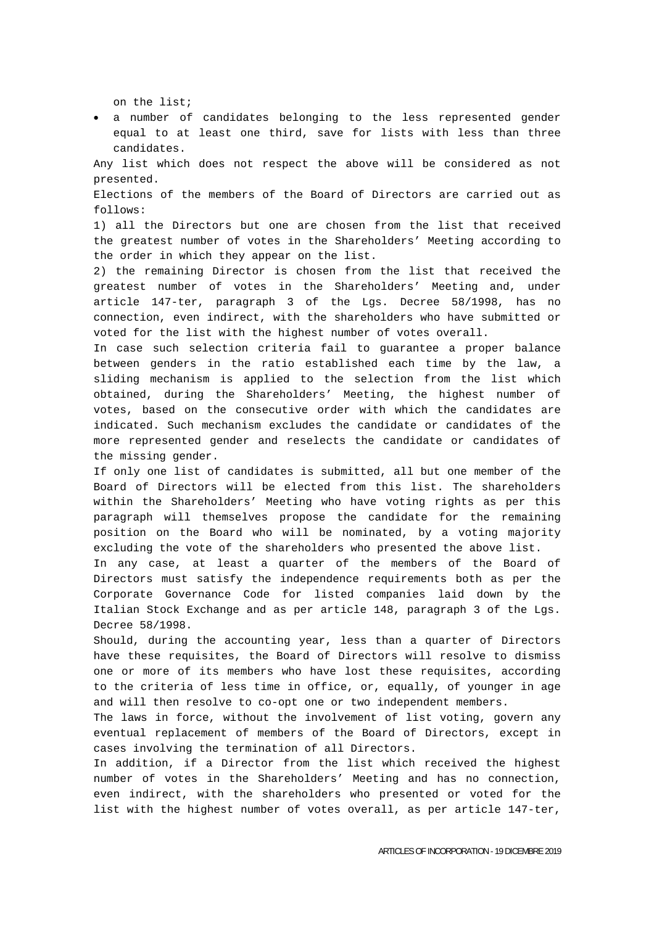on the list;

 a number of candidates belonging to the less represented gender equal to at least one third, save for lists with less than three candidates.

Any list which does not respect the above will be considered as not presented.

Elections of the members of the Board of Directors are carried out as follows:

1) all the Directors but one are chosen from the list that received the greatest number of votes in the Shareholders' Meeting according to the order in which they appear on the list.

2) the remaining Director is chosen from the list that received the greatest number of votes in the Shareholders' Meeting and, under article 147-ter, paragraph 3 of the Lgs. Decree 58/1998, has no connection, even indirect, with the shareholders who have submitted or voted for the list with the highest number of votes overall.

In case such selection criteria fail to guarantee a proper balance between genders in the ratio established each time by the law, a sliding mechanism is applied to the selection from the list which obtained, during the Shareholders' Meeting, the highest number of votes, based on the consecutive order with which the candidates are indicated. Such mechanism excludes the candidate or candidates of the more represented gender and reselects the candidate or candidates of the missing gender.

If only one list of candidates is submitted, all but one member of the Board of Directors will be elected from this list. The shareholders within the Shareholders' Meeting who have voting rights as per this paragraph will themselves propose the candidate for the remaining position on the Board who will be nominated, by a voting majority excluding the vote of the shareholders who presented the above list.

In any case, at least a quarter of the members of the Board of Directors must satisfy the independence requirements both as per the Corporate Governance Code for listed companies laid down by the Italian Stock Exchange and as per article 148, paragraph 3 of the Lgs. Decree 58/1998.

Should, during the accounting year, less than a quarter of Directors have these requisites, the Board of Directors will resolve to dismiss one or more of its members who have lost these requisites, according to the criteria of less time in office, or, equally, of younger in age and will then resolve to co-opt one or two independent members.

The laws in force, without the involvement of list voting, govern any eventual replacement of members of the Board of Directors, except in cases involving the termination of all Directors.

In addition, if a Director from the list which received the highest number of votes in the Shareholders' Meeting and has no connection, even indirect, with the shareholders who presented or voted for the list with the highest number of votes overall, as per article 147-ter,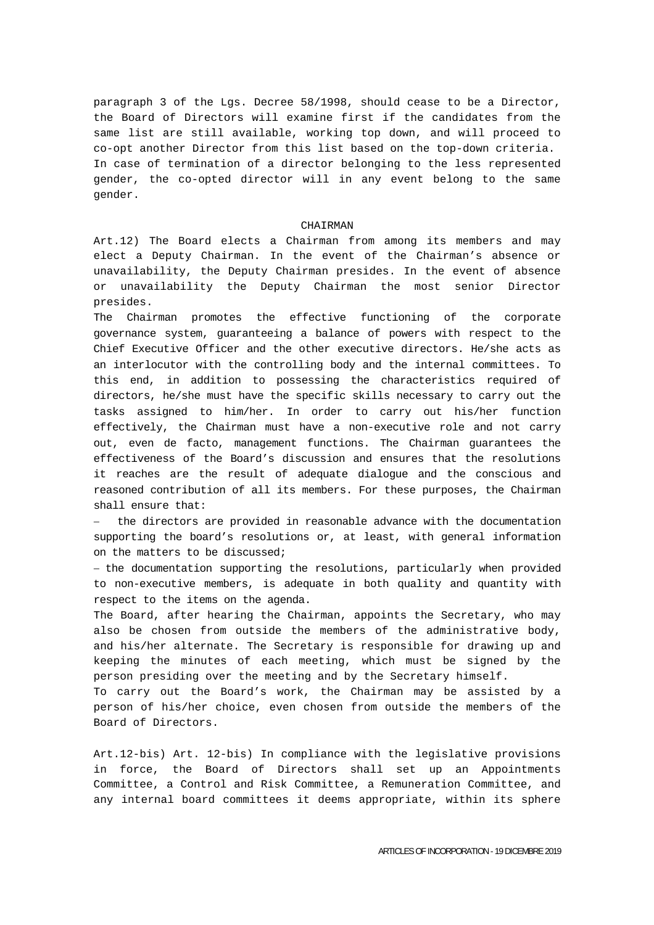paragraph 3 of the Lgs. Decree 58/1998, should cease to be a Director, the Board of Directors will examine first if the candidates from the same list are still available, working top down, and will proceed to co-opt another Director from this list based on the top-down criteria. In case of termination of a director belonging to the less represented gender, the co-opted director will in any event belong to the same gender.

### CHAIRMAN

Art.12) The Board elects a Chairman from among its members and may elect a Deputy Chairman. In the event of the Chairman's absence or unavailability, the Deputy Chairman presides. In the event of absence or unavailability the Deputy Chairman the most senior Director presides.

The Chairman promotes the effective functioning of the corporate governance system, guaranteeing a balance of powers with respect to the Chief Executive Officer and the other executive directors. He/she acts as an interlocutor with the controlling body and the internal committees. To this end, in addition to possessing the characteristics required of directors, he/she must have the specific skills necessary to carry out the tasks assigned to him/her. In order to carry out his/her function effectively, the Chairman must have a non-executive role and not carry out, even de facto, management functions. The Chairman guarantees the effectiveness of the Board's discussion and ensures that the resolutions it reaches are the result of adequate dialogue and the conscious and reasoned contribution of all its members. For these purposes, the Chairman shall ensure that:

 the directors are provided in reasonable advance with the documentation supporting the board's resolutions or, at least, with general information on the matters to be discussed;

- the documentation supporting the resolutions, particularly when provided to non-executive members, is adequate in both quality and quantity with respect to the items on the agenda.

The Board, after hearing the Chairman, appoints the Secretary, who may also be chosen from outside the members of the administrative body, and his/her alternate. The Secretary is responsible for drawing up and keeping the minutes of each meeting, which must be signed by the person presiding over the meeting and by the Secretary himself.

To carry out the Board's work, the Chairman may be assisted by a person of his/her choice, even chosen from outside the members of the Board of Directors.

Art.12-bis) Art. 12-bis) In compliance with the legislative provisions in force, the Board of Directors shall set up an Appointments Committee, a Control and Risk Committee, a Remuneration Committee, and any internal board committees it deems appropriate, within its sphere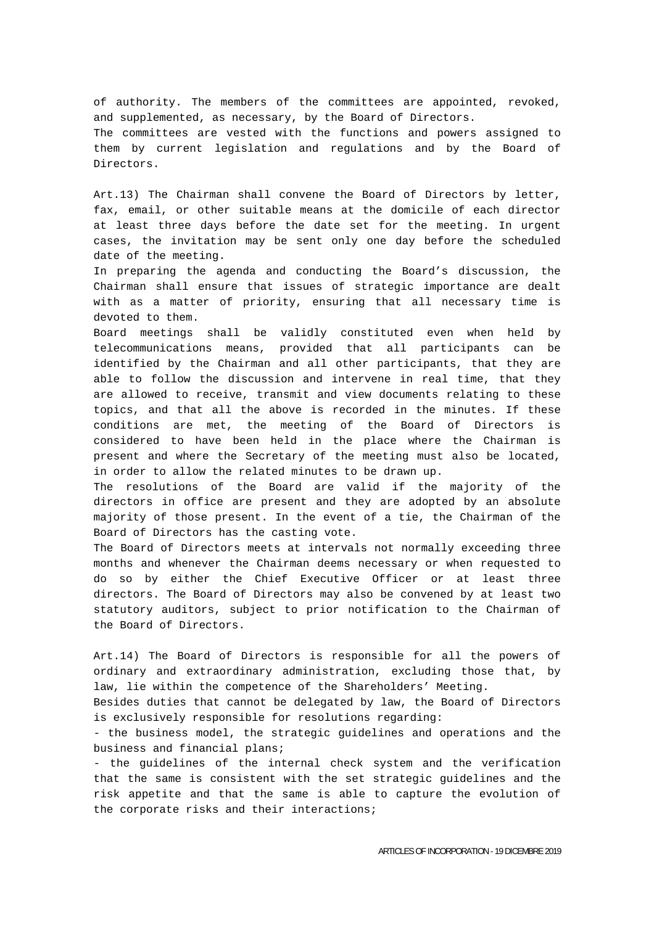of authority. The members of the committees are appointed, revoked, and supplemented, as necessary, by the Board of Directors. The committees are vested with the functions and powers assigned to them by current legislation and regulations and by the Board of Directors.

Art.13) The Chairman shall convene the Board of Directors by letter, fax, email, or other suitable means at the domicile of each director at least three days before the date set for the meeting. In urgent cases, the invitation may be sent only one day before the scheduled date of the meeting.

In preparing the agenda and conducting the Board's discussion, the Chairman shall ensure that issues of strategic importance are dealt with as a matter of priority, ensuring that all necessary time is devoted to them.

Board meetings shall be validly constituted even when held by telecommunications means, provided that all participants can be identified by the Chairman and all other participants, that they are able to follow the discussion and intervene in real time, that they are allowed to receive, transmit and view documents relating to these topics, and that all the above is recorded in the minutes. If these conditions are met, the meeting of the Board of Directors is considered to have been held in the place where the Chairman is present and where the Secretary of the meeting must also be located, in order to allow the related minutes to be drawn up.

The resolutions of the Board are valid if the majority of the directors in office are present and they are adopted by an absolute majority of those present. In the event of a tie, the Chairman of the Board of Directors has the casting vote.

The Board of Directors meets at intervals not normally exceeding three months and whenever the Chairman deems necessary or when requested to do so by either the Chief Executive Officer or at least three directors. The Board of Directors may also be convened by at least two statutory auditors, subject to prior notification to the Chairman of the Board of Directors.

Art.14) The Board of Directors is responsible for all the powers of ordinary and extraordinary administration, excluding those that, by law, lie within the competence of the Shareholders' Meeting.

Besides duties that cannot be delegated by law, the Board of Directors is exclusively responsible for resolutions regarding:

- the business model, the strategic guidelines and operations and the business and financial plans;

- the guidelines of the internal check system and the verification that the same is consistent with the set strategic guidelines and the risk appetite and that the same is able to capture the evolution of the corporate risks and their interactions;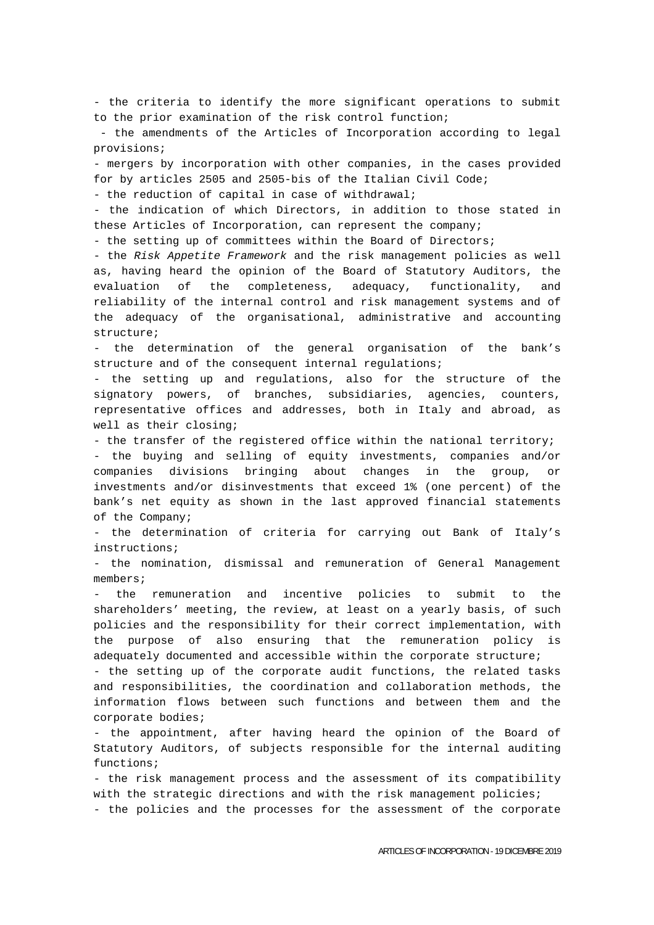- the criteria to identify the more significant operations to submit to the prior examination of the risk control function; - the amendments of the Articles of Incorporation according to legal provisions; - mergers by incorporation with other companies, in the cases provided for by articles 2505 and 2505-bis of the Italian Civil Code; - the reduction of capital in case of withdrawal; - the indication of which Directors, in addition to those stated in these Articles of Incorporation, can represent the company; - the setting up of committees within the Board of Directors; - the *Risk Appetite Framework* and the risk management policies as well as, having heard the opinion of the Board of Statutory Auditors, the evaluation of the completeness, adequacy, functionality, and reliability of the internal control and risk management systems and of the adequacy of the organisational, administrative and accounting structure; - the determination of the general organisation of the bank's structure and of the consequent internal regulations; - the setting up and regulations, also for the structure of the signatory powers, of branches, subsidiaries, agencies, counters, representative offices and addresses, both in Italy and abroad, as well as their closing; - the transfer of the registered office within the national territory; - the buying and selling of equity investments, companies and/or companies divisions bringing about changes in the group, or investments and/or disinvestments that exceed 1% (one percent) of the bank's net equity as shown in the last approved financial statements of the Company; - the determination of criteria for carrying out Bank of Italy's instructions; - the nomination, dismissal and remuneration of General Management

members;

- the remuneration and incentive policies to submit to the shareholders' meeting, the review, at least on a yearly basis, of such policies and the responsibility for their correct implementation, with the purpose of also ensuring that the remuneration policy is adequately documented and accessible within the corporate structure;

- the setting up of the corporate audit functions, the related tasks and responsibilities, the coordination and collaboration methods, the information flows between such functions and between them and the corporate bodies;

- the appointment, after having heard the opinion of the Board of Statutory Auditors, of subjects responsible for the internal auditing functions;

- the risk management process and the assessment of its compatibility with the strategic directions and with the risk management policies;

- the policies and the processes for the assessment of the corporate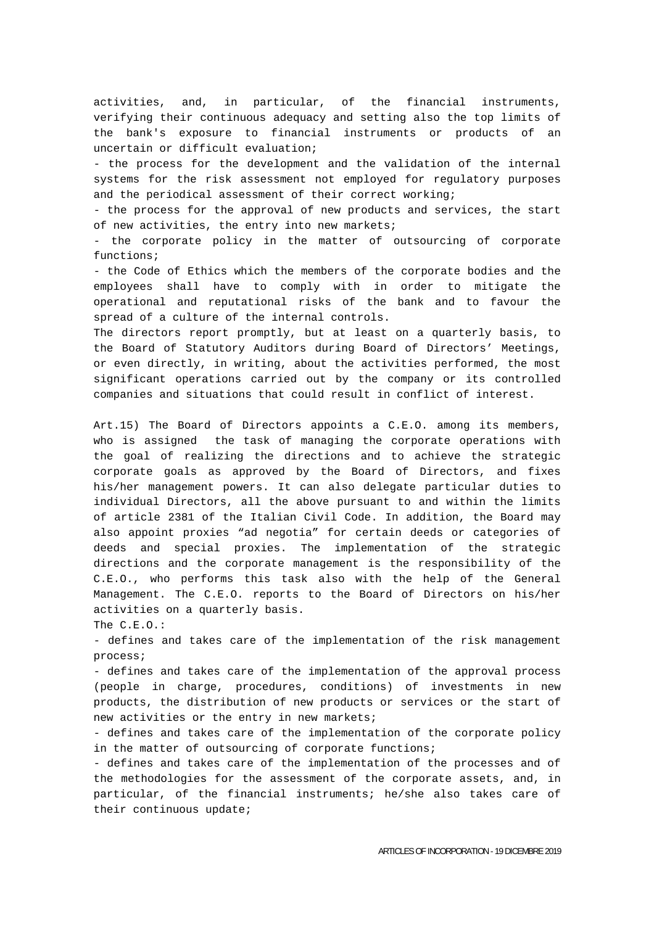activities, and, in particular, of the financial instruments, verifying their continuous adequacy and setting also the top limits of the bank's exposure to financial instruments or products of an uncertain or difficult evaluation;

- the process for the development and the validation of the internal systems for the risk assessment not employed for regulatory purposes and the periodical assessment of their correct working;

- the process for the approval of new products and services, the start of new activities, the entry into new markets;

- the corporate policy in the matter of outsourcing of corporate functions;

- the Code of Ethics which the members of the corporate bodies and the employees shall have to comply with in order to mitigate the operational and reputational risks of the bank and to favour the spread of a culture of the internal controls.

The directors report promptly, but at least on a quarterly basis, to the Board of Statutory Auditors during Board of Directors' Meetings, or even directly, in writing, about the activities performed, the most significant operations carried out by the company or its controlled companies and situations that could result in conflict of interest.

Art.15) The Board of Directors appoints a C.E.O. among its members, who is assigned the task of managing the corporate operations with the goal of realizing the directions and to achieve the strategic corporate goals as approved by the Board of Directors, and fixes his/her management powers. It can also delegate particular duties to individual Directors, all the above pursuant to and within the limits of article 2381 of the Italian Civil Code. In addition, the Board may also appoint proxies "ad negotia" for certain deeds or categories of deeds and special proxies. The implementation of the strategic directions and the corporate management is the responsibility of the C.E.O., who performs this task also with the help of the General Management. The C.E.O. reports to the Board of Directors on his/her activities on a quarterly basis.

The C.E.O.:

- defines and takes care of the implementation of the risk management process;

- defines and takes care of the implementation of the approval process (people in charge, procedures, conditions) of investments in new products, the distribution of new products or services or the start of new activities or the entry in new markets;

- defines and takes care of the implementation of the corporate policy in the matter of outsourcing of corporate functions;

- defines and takes care of the implementation of the processes and of the methodologies for the assessment of the corporate assets, and, in particular, of the financial instruments; he/she also takes care of their continuous update;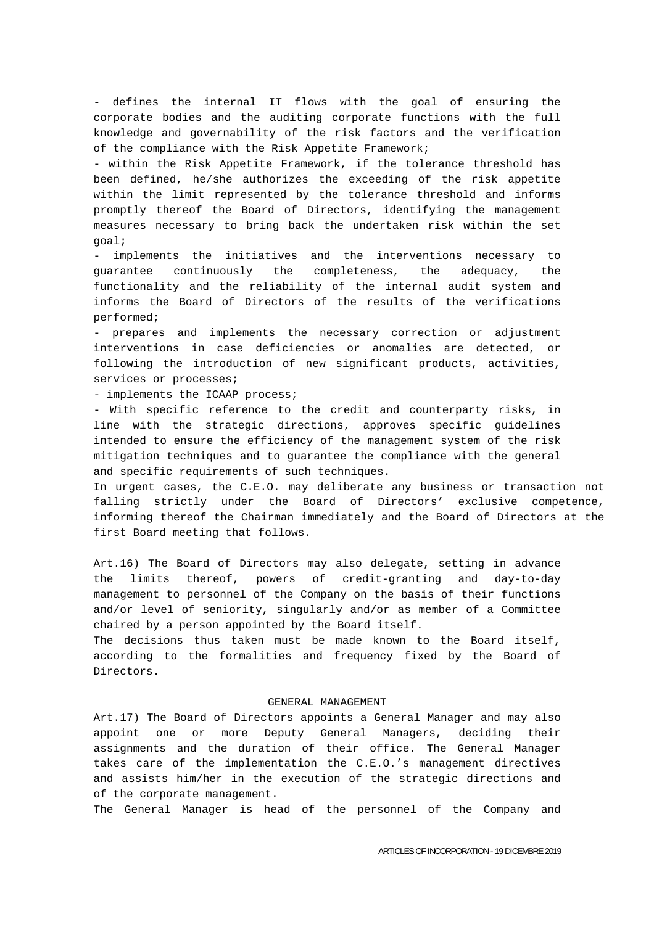- defines the internal IT flows with the goal of ensuring the corporate bodies and the auditing corporate functions with the full knowledge and governability of the risk factors and the verification of the compliance with the Risk Appetite Framework;

- within the Risk Appetite Framework, if the tolerance threshold has been defined, he/she authorizes the exceeding of the risk appetite within the limit represented by the tolerance threshold and informs promptly thereof the Board of Directors, identifying the management measures necessary to bring back the undertaken risk within the set goal;

implements the initiatives and the interventions necessary to guarantee continuously the completeness, the adequacy, the functionality and the reliability of the internal audit system and informs the Board of Directors of the results of the verifications performed;

- prepares and implements the necessary correction or adjustment interventions in case deficiencies or anomalies are detected, or following the introduction of new significant products, activities, services or processes;

- implements the ICAAP process;

- With specific reference to the credit and counterparty risks, in line with the strategic directions, approves specific guidelines intended to ensure the efficiency of the management system of the risk mitigation techniques and to guarantee the compliance with the general and specific requirements of such techniques.

In urgent cases, the C.E.O. may deliberate any business or transaction not falling strictly under the Board of Directors' exclusive competence, informing thereof the Chairman immediately and the Board of Directors at the first Board meeting that follows.

Art.16) The Board of Directors may also delegate, setting in advance the limits thereof, powers of credit-granting and day-to-day management to personnel of the Company on the basis of their functions and/or level of seniority, singularly and/or as member of a Committee chaired by a person appointed by the Board itself.

The decisions thus taken must be made known to the Board itself, according to the formalities and frequency fixed by the Board of Directors.

## GENERAL MANAGEMENT

Art.17) The Board of Directors appoints a General Manager and may also appoint one or more Deputy General Managers, deciding their assignments and the duration of their office. The General Manager takes care of the implementation the C.E.O.'s management directives and assists him/her in the execution of the strategic directions and of the corporate management.

The General Manager is head of the personnel of the Company and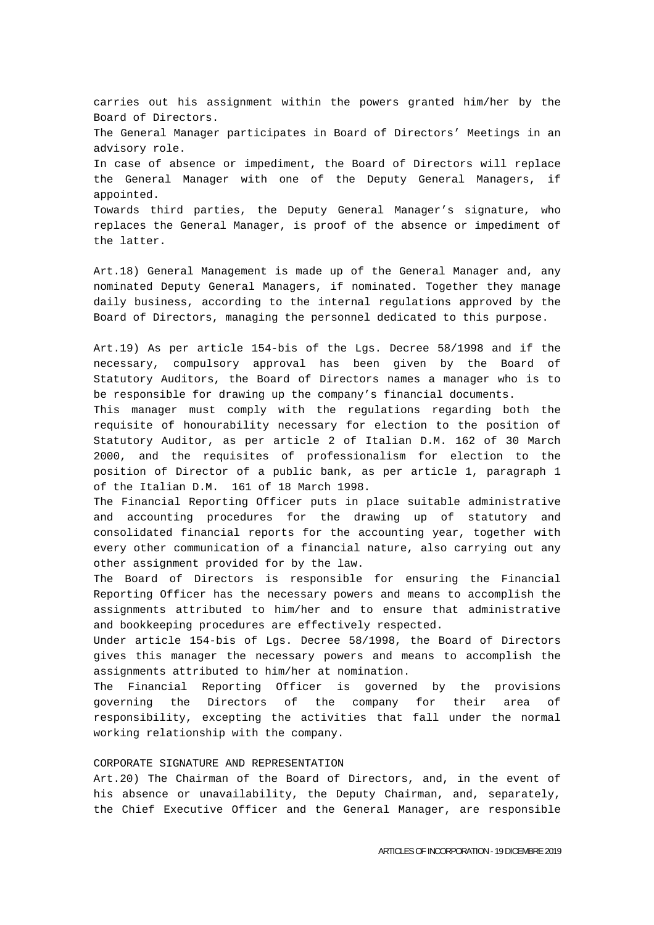carries out his assignment within the powers granted him/her by the Board of Directors. The General Manager participates in Board of Directors' Meetings in an advisory role. In case of absence or impediment, the Board of Directors will replace the General Manager with one of the Deputy General Managers, if appointed. Towards third parties, the Deputy General Manager's signature, who replaces the General Manager, is proof of the absence or impediment of the latter.

Art.18) General Management is made up of the General Manager and, any nominated Deputy General Managers, if nominated. Together they manage daily business, according to the internal regulations approved by the Board of Directors, managing the personnel dedicated to this purpose.

Art.19) As per article 154-bis of the Lgs. Decree 58/1998 and if the necessary, compulsory approval has been given by the Board of Statutory Auditors, the Board of Directors names a manager who is to be responsible for drawing up the company's financial documents.

This manager must comply with the regulations regarding both the requisite of honourability necessary for election to the position of Statutory Auditor, as per article 2 of Italian D.M. 162 of 30 March 2000, and the requisites of professionalism for election to the position of Director of a public bank, as per article 1, paragraph 1 of the Italian D.M. 161 of 18 March 1998.

The Financial Reporting Officer puts in place suitable administrative and accounting procedures for the drawing up of statutory and consolidated financial reports for the accounting year, together with every other communication of a financial nature, also carrying out any other assignment provided for by the law.

The Board of Directors is responsible for ensuring the Financial Reporting Officer has the necessary powers and means to accomplish the assignments attributed to him/her and to ensure that administrative and bookkeeping procedures are effectively respected.

Under article 154-bis of Lgs. Decree 58/1998, the Board of Directors gives this manager the necessary powers and means to accomplish the assignments attributed to him/her at nomination.

The Financial Reporting Officer is governed by the provisions governing the Directors of the company for their area of responsibility, excepting the activities that fall under the normal working relationship with the company.

## CORPORATE SIGNATURE AND REPRESENTATION

Art.20) The Chairman of the Board of Directors, and, in the event of his absence or unavailability, the Deputy Chairman, and, separately, the Chief Executive Officer and the General Manager, are responsible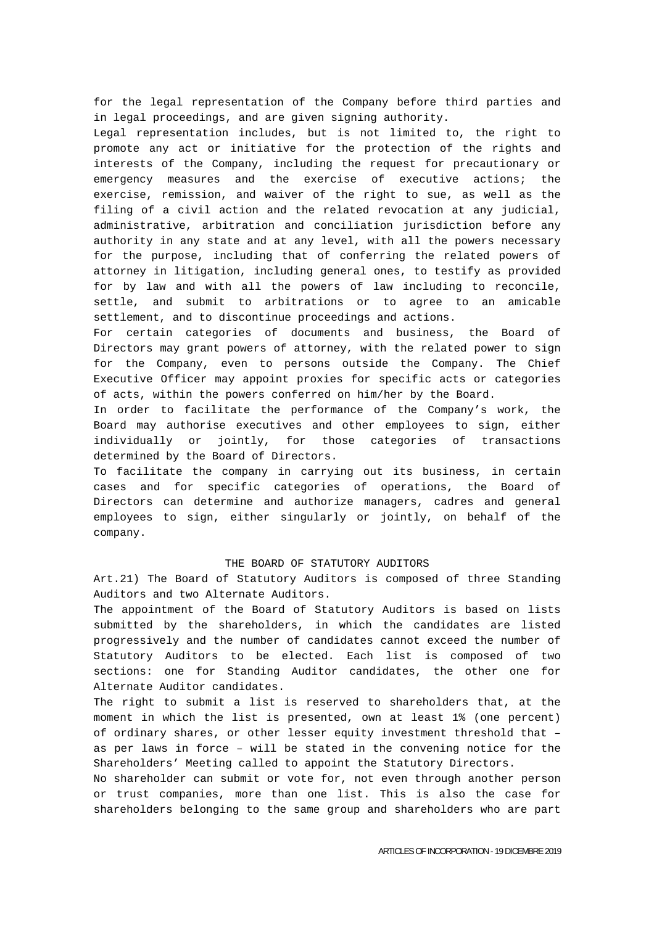for the legal representation of the Company before third parties and in legal proceedings, and are given signing authority.

Legal representation includes, but is not limited to, the right to promote any act or initiative for the protection of the rights and interests of the Company, including the request for precautionary or emergency measures and the exercise of executive actions; the exercise, remission, and waiver of the right to sue, as well as the filing of a civil action and the related revocation at any judicial, administrative, arbitration and conciliation jurisdiction before any authority in any state and at any level, with all the powers necessary for the purpose, including that of conferring the related powers of attorney in litigation, including general ones, to testify as provided for by law and with all the powers of law including to reconcile, settle, and submit to arbitrations or to agree to an amicable settlement, and to discontinue proceedings and actions.

For certain categories of documents and business, the Board of Directors may grant powers of attorney, with the related power to sign for the Company, even to persons outside the Company. The Chief Executive Officer may appoint proxies for specific acts or categories of acts, within the powers conferred on him/her by the Board.

In order to facilitate the performance of the Company's work, the Board may authorise executives and other employees to sign, either individually or jointly, for those categories of transactions determined by the Board of Directors.

To facilitate the company in carrying out its business, in certain cases and for specific categories of operations, the Board of Directors can determine and authorize managers, cadres and general employees to sign, either singularly or jointly, on behalf of the company.

## THE BOARD OF STATUTORY AUDITORS

Art.21) The Board of Statutory Auditors is composed of three Standing Auditors and two Alternate Auditors.

The appointment of the Board of Statutory Auditors is based on lists submitted by the shareholders, in which the candidates are listed progressively and the number of candidates cannot exceed the number of Statutory Auditors to be elected. Each list is composed of two sections: one for Standing Auditor candidates, the other one for Alternate Auditor candidates.

The right to submit a list is reserved to shareholders that, at the moment in which the list is presented, own at least 1% (one percent) of ordinary shares, or other lesser equity investment threshold that – as per laws in force – will be stated in the convening notice for the Shareholders' Meeting called to appoint the Statutory Directors.

No shareholder can submit or vote for, not even through another person or trust companies, more than one list. This is also the case for shareholders belonging to the same group and shareholders who are part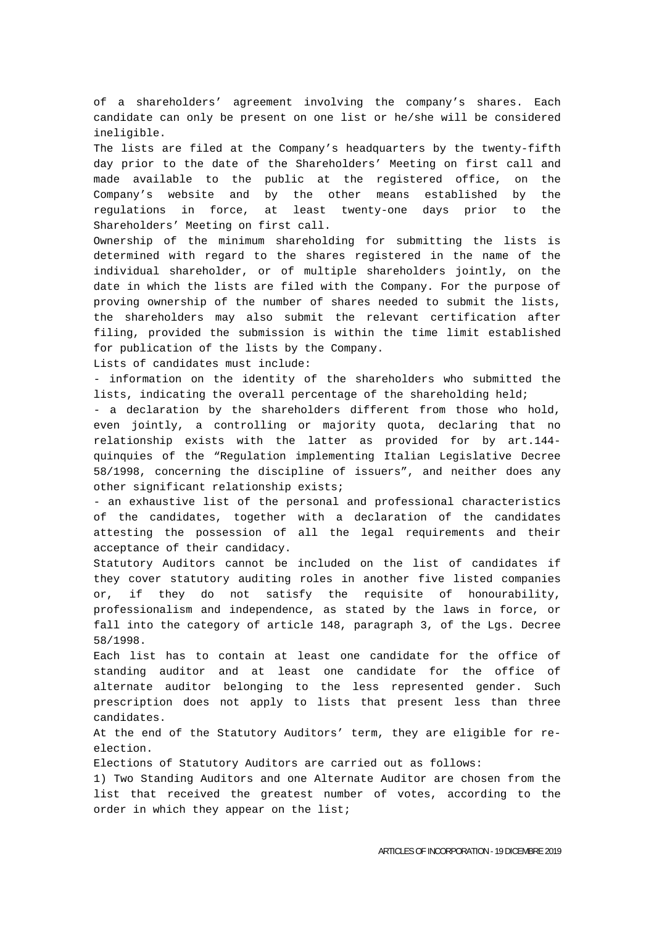of a shareholders' agreement involving the company's shares. Each candidate can only be present on one list or he/she will be considered ineligible.

The lists are filed at the Company's headquarters by the twenty-fifth day prior to the date of the Shareholders' Meeting on first call and made available to the public at the registered office, on the Company's website and by the other means established by the regulations in force, at least twenty-one days prior to the Shareholders' Meeting on first call.

Ownership of the minimum shareholding for submitting the lists is determined with regard to the shares registered in the name of the individual shareholder, or of multiple shareholders jointly, on the date in which the lists are filed with the Company. For the purpose of proving ownership of the number of shares needed to submit the lists, the shareholders may also submit the relevant certification after filing, provided the submission is within the time limit established for publication of the lists by the Company.

Lists of candidates must include:

- information on the identity of the shareholders who submitted the lists, indicating the overall percentage of the shareholding held;

- a declaration by the shareholders different from those who hold, even jointly, a controlling or majority quota, declaring that no relationship exists with the latter as provided for by art.144 quinquies of the "Regulation implementing Italian Legislative Decree 58/1998, concerning the discipline of issuers", and neither does any other significant relationship exists;

- an exhaustive list of the personal and professional characteristics of the candidates, together with a declaration of the candidates attesting the possession of all the legal requirements and their acceptance of their candidacy.

Statutory Auditors cannot be included on the list of candidates if they cover statutory auditing roles in another five listed companies or, if they do not satisfy the requisite of honourability, professionalism and independence, as stated by the laws in force, or fall into the category of article 148, paragraph 3, of the Lgs. Decree 58/1998.

Each list has to contain at least one candidate for the office of standing auditor and at least one candidate for the office of alternate auditor belonging to the less represented gender. Such prescription does not apply to lists that present less than three candidates.

At the end of the Statutory Auditors' term, they are eligible for reelection.

Elections of Statutory Auditors are carried out as follows:

1) Two Standing Auditors and one Alternate Auditor are chosen from the list that received the greatest number of votes, according to the order in which they appear on the list;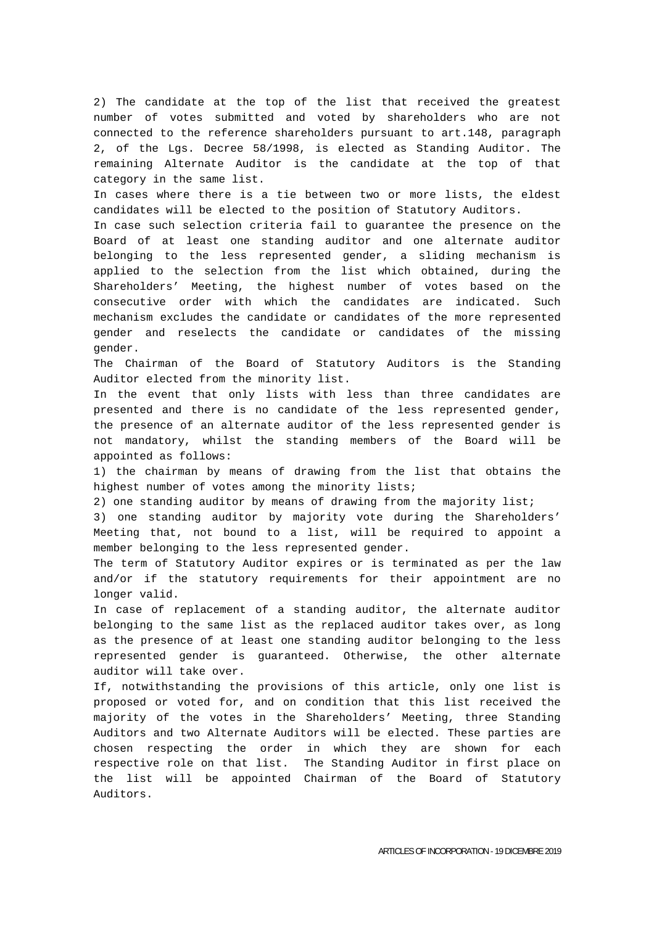2) The candidate at the top of the list that received the greatest number of votes submitted and voted by shareholders who are not connected to the reference shareholders pursuant to art.148, paragraph 2, of the Lgs. Decree 58/1998, is elected as Standing Auditor. The remaining Alternate Auditor is the candidate at the top of that category in the same list.

In cases where there is a tie between two or more lists, the eldest candidates will be elected to the position of Statutory Auditors.

In case such selection criteria fail to guarantee the presence on the Board of at least one standing auditor and one alternate auditor belonging to the less represented gender, a sliding mechanism is applied to the selection from the list which obtained, during the Shareholders' Meeting, the highest number of votes based on the consecutive order with which the candidates are indicated. Such mechanism excludes the candidate or candidates of the more represented gender and reselects the candidate or candidates of the missing gender.

The Chairman of the Board of Statutory Auditors is the Standing Auditor elected from the minority list.

In the event that only lists with less than three candidates are presented and there is no candidate of the less represented gender, the presence of an alternate auditor of the less represented gender is not mandatory, whilst the standing members of the Board will be appointed as follows:

1) the chairman by means of drawing from the list that obtains the highest number of votes among the minority lists;

2) one standing auditor by means of drawing from the majority list;

3) one standing auditor by majority vote during the Shareholders' Meeting that, not bound to a list, will be required to appoint a member belonging to the less represented gender.

The term of Statutory Auditor expires or is terminated as per the law and/or if the statutory requirements for their appointment are no longer valid.

In case of replacement of a standing auditor, the alternate auditor belonging to the same list as the replaced auditor takes over, as long as the presence of at least one standing auditor belonging to the less represented gender is guaranteed. Otherwise, the other alternate auditor will take over.

If, notwithstanding the provisions of this article, only one list is proposed or voted for, and on condition that this list received the majority of the votes in the Shareholders' Meeting, three Standing Auditors and two Alternate Auditors will be elected. These parties are chosen respecting the order in which they are shown for each respective role on that list. The Standing Auditor in first place on the list will be appointed Chairman of the Board of Statutory Auditors.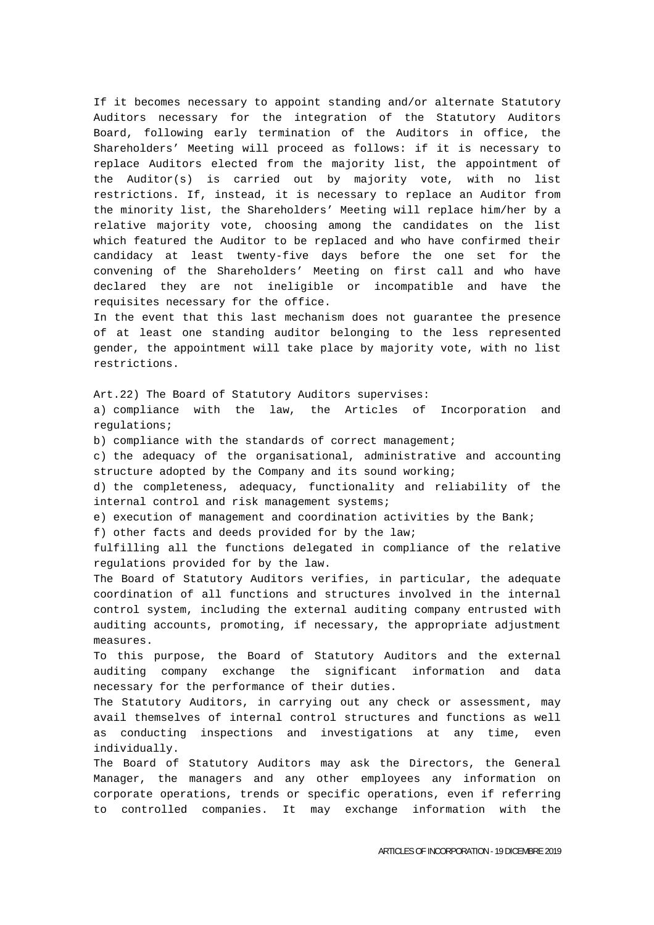If it becomes necessary to appoint standing and/or alternate Statutory Auditors necessary for the integration of the Statutory Auditors Board, following early termination of the Auditors in office, the Shareholders' Meeting will proceed as follows: if it is necessary to replace Auditors elected from the majority list, the appointment of the Auditor(s) is carried out by majority vote, with no list restrictions. If, instead, it is necessary to replace an Auditor from the minority list, the Shareholders' Meeting will replace him/her by a relative majority vote, choosing among the candidates on the list which featured the Auditor to be replaced and who have confirmed their candidacy at least twenty-five days before the one set for the convening of the Shareholders' Meeting on first call and who have declared they are not ineligible or incompatible and have the requisites necessary for the office.

In the event that this last mechanism does not guarantee the presence of at least one standing auditor belonging to the less represented gender, the appointment will take place by majority vote, with no list restrictions.

Art.22) The Board of Statutory Auditors supervises:

a) compliance with the law, the Articles of Incorporation and regulations;

b) compliance with the standards of correct management;

c) the adequacy of the organisational, administrative and accounting structure adopted by the Company and its sound working;

d) the completeness, adequacy, functionality and reliability of the internal control and risk management systems;

e) execution of management and coordination activities by the Bank;

f) other facts and deeds provided for by the law;

fulfilling all the functions delegated in compliance of the relative regulations provided for by the law.

The Board of Statutory Auditors verifies, in particular, the adequate coordination of all functions and structures involved in the internal control system, including the external auditing company entrusted with auditing accounts, promoting, if necessary, the appropriate adjustment measures.

To this purpose, the Board of Statutory Auditors and the external auditing company exchange the significant information and data necessary for the performance of their duties.

The Statutory Auditors, in carrying out any check or assessment, may avail themselves of internal control structures and functions as well as conducting inspections and investigations at any time, even individually.

The Board of Statutory Auditors may ask the Directors, the General Manager, the managers and any other employees any information on corporate operations, trends or specific operations, even if referring to controlled companies. It may exchange information with the